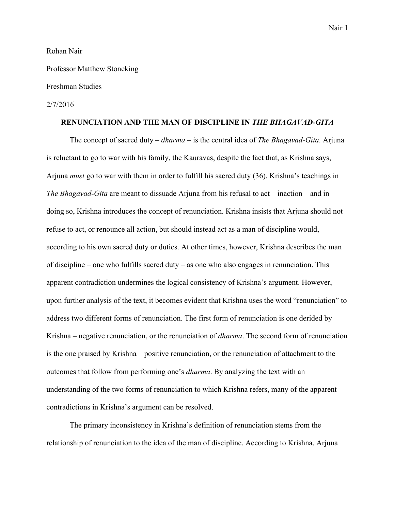#### Rohan Nair

Professor Matthew Stoneking

# Freshman Studies

#### 2/7/2016

# **RENUNCIATION AND THE MAN OF DISCIPLINE IN** *THE BHAGAVAD-GITA*

The concept of sacred duty – *dharma* – is the central idea of *The Bhagavad-Gita*. Arjuna is reluctant to go to war with his family, the Kauravas, despite the fact that, as Krishna says, Arjuna *must* go to war with them in order to fulfill his sacred duty (36). Krishna's teachings in *The Bhagavad-Gita* are meant to dissuade Arjuna from his refusal to act – inaction – and in doing so, Krishna introduces the concept of renunciation. Krishna insists that Arjuna should not refuse to act, or renounce all action, but should instead act as a man of discipline would, according to his own sacred duty or duties. At other times, however, Krishna describes the man of discipline – one who fulfills sacred duty – as one who also engages in renunciation. This apparent contradiction undermines the logical consistency of Krishna's argument. However, upon further analysis of the text, it becomes evident that Krishna uses the word "renunciation" to address two different forms of renunciation. The first form of renunciation is one derided by Krishna – negative renunciation, or the renunciation of *dharma*. The second form of renunciation is the one praised by Krishna – positive renunciation, or the renunciation of attachment to the outcomes that follow from performing one's *dharma*. By analyzing the text with an understanding of the two forms of renunciation to which Krishna refers, many of the apparent contradictions in Krishna's argument can be resolved.

The primary inconsistency in Krishna's definition of renunciation stems from the relationship of renunciation to the idea of the man of discipline. According to Krishna, Arjuna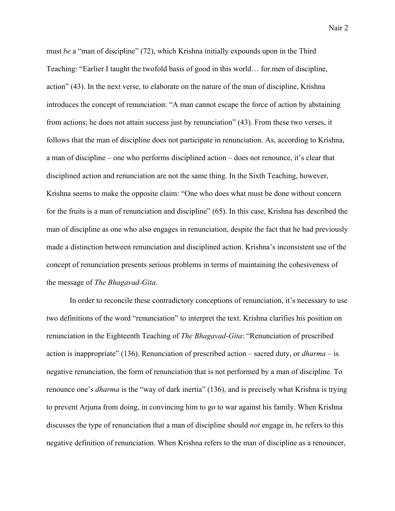must *be* a "man of discipline" (72), which Krishna initially expounds upon in the Third Teaching: "Earlier I taught the twofold basis of good in this world… for men of discipline, action" (43). In the next verse, to elaborate on the nature of the man of discipline, Krishna introduces the concept of renunciation: "A man cannot escape the force of action by abstaining from actions; he does not attain success just by renunciation" (43). From these two verses, it follows that the man of discipline does not participate in renunciation. As, according to Krishna, a man of discipline – one who performs disciplined action – does not renounce, it's clear that disciplined action and renunciation are not the same thing. In the Sixth Teaching, however, Krishna seems to make the opposite claim: "One who does what must be done without concern for the fruits is a man of renunciation and discipline" (65). In this case, Krishna has described the man of discipline as one who also engages in renunciation, despite the fact that he had previously made a distinction between renunciation and disciplined action. Krishna's inconsistent use of the concept of renunciation presents serious problems in terms of maintaining the cohesiveness of the message of *The Bhagavad-Gita*.

In order to reconcile these contradictory conceptions of renunciation, it's necessary to use two definitions of the word "renunciation" to interpret the text. Krishna clarifies his position on renunciation in the Eighteenth Teaching of *The Bhagavad-Gita*: "Renunciation of prescribed action is inappropriate" (136). Renunciation of prescribed action – sacred duty, or *dharma –* is negative renunciation, the form of renunciation that is not performed by a man of discipline. To renounce one's *dharma* is the "way of dark inertia" (136), and is precisely what Krishna is trying to prevent Arjuna from doing, in convincing him to go to war against his family. When Krishna discusses the type of renunciation that a man of discipline should *not* engage in, he refers to this negative definition of renunciation. When Krishna refers to the man of discipline as a renouncer,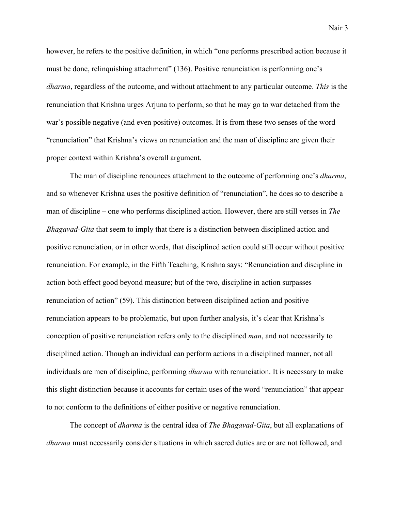Nair 3

however, he refers to the positive definition, in which "one performs prescribed action because it must be done, relinquishing attachment" (136). Positive renunciation is performing one's *dharma*, regardless of the outcome, and without attachment to any particular outcome. *This* is the renunciation that Krishna urges Arjuna to perform, so that he may go to war detached from the war's possible negative (and even positive) outcomes. It is from these two senses of the word "renunciation" that Krishna's views on renunciation and the man of discipline are given their proper context within Krishna's overall argument.

The man of discipline renounces attachment to the outcome of performing one's *dharma*, and so whenever Krishna uses the positive definition of "renunciation", he does so to describe a man of discipline – one who performs disciplined action. However, there are still verses in *The Bhagavad-Gita* that seem to imply that there is a distinction between disciplined action and positive renunciation, or in other words, that disciplined action could still occur without positive renunciation. For example, in the Fifth Teaching, Krishna says: "Renunciation and discipline in action both effect good beyond measure; but of the two, discipline in action surpasses renunciation of action" (59). This distinction between disciplined action and positive renunciation appears to be problematic, but upon further analysis, it's clear that Krishna's conception of positive renunciation refers only to the disciplined *man*, and not necessarily to disciplined action. Though an individual can perform actions in a disciplined manner, not all individuals are men of discipline, performing *dharma* with renunciation. It is necessary to make this slight distinction because it accounts for certain uses of the word "renunciation" that appear to not conform to the definitions of either positive or negative renunciation.

The concept of *dharma* is the central idea of *The Bhagavad-Gita*, but all explanations of *dharma* must necessarily consider situations in which sacred duties are or are not followed, and